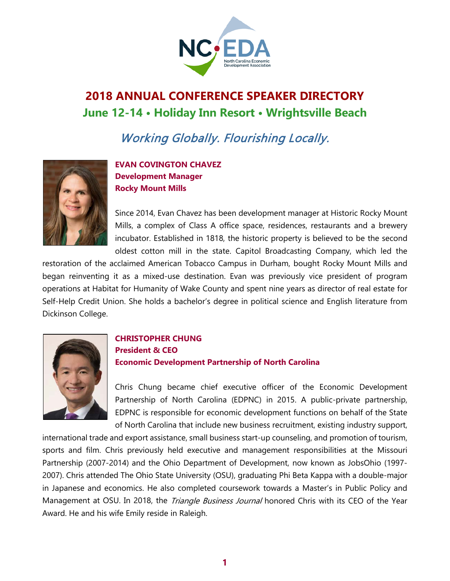

# **2018 ANNUAL CONFERENCE SPEAKER DIRECTORY June 12-14 • Holiday Inn Resort • Wrightsville Beach**

Working Globally. Flourishing Locally.



**EVAN COVINGTON CHAVEZ Development Manager Rocky Mount Mills**

Since 2014, Evan Chavez has been development manager at Historic Rocky Mount Mills, a complex of Class A office space, residences, restaurants and a brewery incubator. Established in 1818, the historic property is believed to be the second oldest cotton mill in the state. Capitol Broadcasting Company, which led the

restoration of the acclaimed American Tobacco Campus in Durham, bought Rocky Mount Mills and began reinventing it as a mixed-use destination. Evan was previously vice president of program operations at Habitat for Humanity of Wake County and spent nine years as director of real estate for Self-Help Credit Union. She holds a bachelor's degree in political science and English literature from Dickinson College.



### **CHRISTOPHER CHUNG President & CEO Economic Development Partnership of North Carolina**

Chris Chung became chief executive officer of the Economic Development Partnership of North Carolina (EDPNC) in 2015. A public-private partnership, EDPNC is responsible for economic development functions on behalf of the State of North Carolina that include new business recruitment, existing industry support,

international trade and export assistance, small business start-up counseling, and promotion of tourism, sports and film. Chris previously held executive and management responsibilities at the Missouri Partnership (2007-2014) and the Ohio Department of Development, now known as JobsOhio (1997- 2007). Chris attended The Ohio State University (OSU), graduating Phi Beta Kappa with a double-major in Japanese and economics. He also completed coursework towards a Master's in Public Policy and Management at OSU. In 2018, the *Triangle Business Journal* honored Chris with its CEO of the Year Award. He and his wife Emily reside in Raleigh.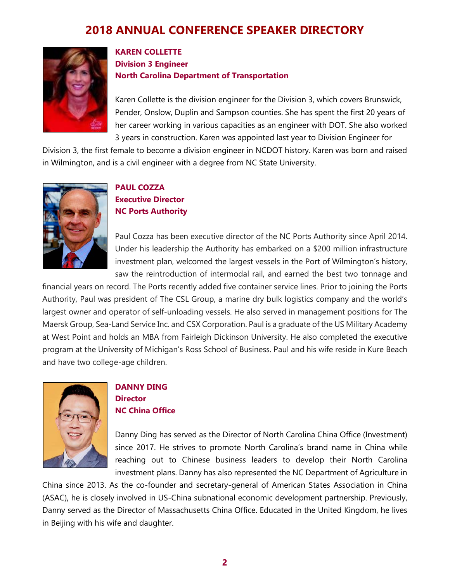

### **KAREN COLLETTE Division 3 Engineer North Carolina Department of Transportation**

Karen Collette is the division engineer for the Division 3, which covers Brunswick, Pender, Onslow, Duplin and Sampson counties. She has spent the first 20 years of her career working in various capacities as an engineer with DOT. She also worked 3 years in construction. Karen was appointed last year to Division Engineer for

Division 3, the first female to become a division engineer in NCDOT history. Karen was born and raised in Wilmington, and is a civil engineer with a degree from NC State University.



### **PAUL COZZA Executive Director NC Ports Authority**

Paul Cozza has been executive director of the NC Ports Authority since April 2014. Under his leadership the Authority has embarked on a \$200 million infrastructure investment plan, welcomed the largest vessels in the Port of Wilmington's history, saw the reintroduction of intermodal rail, and earned the best two tonnage and

financial years on record. The Ports recently added five container service lines. Prior to joining the Ports Authority, Paul was president of The CSL Group, a marine dry bulk logistics company and the world's largest owner and operator of self-unloading vessels. He also served in management positions for The Maersk Group, Sea-Land Service Inc. and CSX Corporation. Paul is a graduate of the US Military Academy at West Point and holds an MBA from Fairleigh Dickinson University. He also completed the executive program at the University of Michigan's Ross School of Business. Paul and his wife reside in Kure Beach and have two college-age children.



#### **DANNY DING Director NC China Office**

Danny Ding has served as the Director of North Carolina China Office (Investment) since 2017. He strives to promote North Carolina's brand name in China while reaching out to Chinese business leaders to develop their North Carolina investment plans. Danny has also represented the NC Department of Agriculture in

China since 2013. As the co-founder and secretary-general of American States Association in China (ASAC), he is closely involved in US-China subnational economic development partnership. Previously, Danny served as the Director of Massachusetts China Office. Educated in the United Kingdom, he lives in Beijing with his wife and daughter.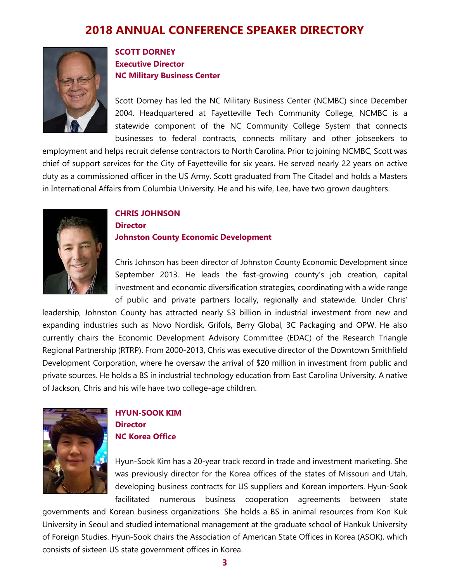

### **SCOTT DORNEY Executive Director NC Military Business Center**

Scott Dorney has led the NC Military Business Center (NCMBC) since December 2004. Headquartered at Fayetteville Tech Community College, NCMBC is a statewide component of the NC Community College System that connects businesses to federal contracts, connects military and other jobseekers to

employment and helps recruit defense contractors to North Carolina. Prior to joining NCMBC, Scott was chief of support services for the City of Fayetteville for six years. He served nearly 22 years on active duty as a commissioned officer in the US Army. Scott graduated from The Citadel and holds a Masters in International Affairs from Columbia University. He and his wife, Lee, have two grown daughters.



### **CHRIS JOHNSON Director Johnston County Economic Development**

Chris Johnson has been director of Johnston County Economic Development since September 2013. He leads the fast-growing county's job creation, capital investment and economic diversification strategies, coordinating with a wide range of public and private partners locally, regionally and statewide. Under Chris'

leadership, Johnston County has attracted nearly \$3 billion in industrial investment from new and expanding industries such as Novo Nordisk, Grifols, Berry Global, 3C Packaging and OPW. He also currently chairs the Economic Development Advisory Committee (EDAC) of the Research Triangle Regional Partnership (RTRP). From 2000-2013, Chris was executive director of the Downtown Smithfield Development Corporation, where he oversaw the arrival of \$20 million in investment from public and private sources. He holds a BS in industrial technology education from East Carolina University. A native of Jackson, Chris and his wife have two college-age children.



### **HYUN-SOOK KIM Director NC Korea Office**

Hyun-Sook Kim has a 20-year track record in trade and investment marketing. She was previously director for the Korea offices of the states of Missouri and Utah, developing business contracts for US suppliers and Korean importers. Hyun-Sook facilitated numerous business cooperation agreements between state

governments and Korean business organizations. She holds a BS in animal resources from Kon Kuk University in Seoul and studied international management at the graduate school of Hankuk University of Foreign Studies. Hyun-Sook chairs the Association of American State Offices in Korea (ASOK), which consists of sixteen US state government offices in Korea.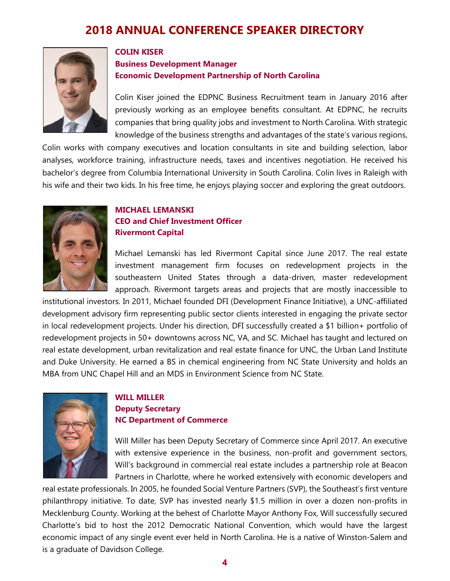

## **COLIN KISER Business Development Manager**

**Economic Development Partnership of North Carolina**

Colin Kiser joined the EDPNC Business Recruitment team in January 2016 after previously working as an employee benefits consultant. At EDPNC, he recruits companies that bring quality jobs and investment to North Carolina. With strategic knowledge of the business strengths and advantages of the state's various regions,

Colin works with company executives and location consultants in site and building selection, labor analyses, workforce training, infrastructure needs, taxes and incentives negotiation. He received his bachelor's degree from Columbia International University in South Carolina. Colin lives in Raleigh with his wife and their two kids. In his free time, he enjoys playing soccer and exploring the great outdoors.



### **MICHAEL LEMANSKI CEO and Chief Investment Officer Rivermont Capital**

Michael Lemanski has led Rivermont Capital since June 2017. The real estate investment management firm focuses on redevelopment projects in the southeastern United States through a data-driven, master redevelopment approach. Rivermont targets areas and projects that are mostly inaccessible to

institutional investors. In 2011, Michael founded DFI (Development Finance Initiative), a UNC-affiliated development advisory firm representing public sector clients interested in engaging the private sector in local redevelopment projects. Under his direction, DFI successfully created a \$1 billion+ portfolio of redevelopment projects in 50+ downtowns across NC, VA, and SC. Michael has taught and lectured on real estate development, urban revitalization and real estate finance for UNC, the Urban Land Institute and Duke University. He earned a BS in chemical engineering from NC State University and holds an MBA from UNC Chapel Hill and an MDS in Environment Science from NC State.



### **WILL MILLER Deputy Secretary NC Department of Commerce**

Will Miller has been Deputy Secretary of Commerce since April 2017. An executive with extensive experience in the business, non-profit and government sectors, Will's background in commercial real estate includes a partnership role at Beacon Partners in Charlotte, where he worked extensively with economic developers and

real estate professionals. In 2005, he founded Social Venture Partners (SVP), the Southeast's first venture philanthropy initiative. To date, SVP has invested nearly \$1.5 million in over a dozen non-profits in Mecklenburg County. Working at the behest of Charlotte Mayor Anthony Fox, Will successfully secured Charlotte's bid to host the 2012 Democratic National Convention, which would have the largest economic impact of any single event ever held in North Carolina. He is a native of Winston-Salem and is a graduate of Davidson College.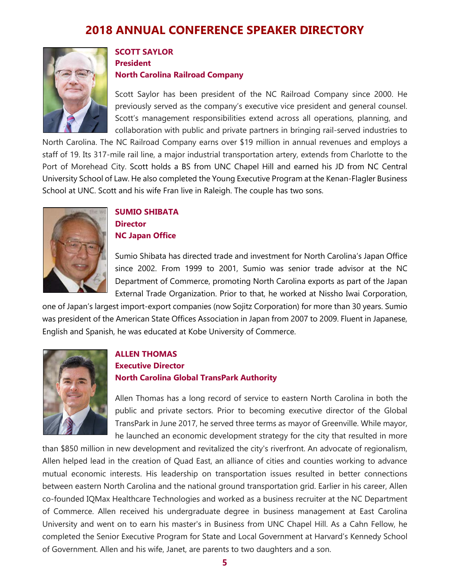

#### **SCOTT SAYLOR President**

#### **North Carolina Railroad Company**

Scott Saylor has been president of the NC Railroad Company since 2000. He previously served as the company's executive vice president and general counsel. Scott's management responsibilities extend across all operations, planning, and collaboration with public and private partners in bringing rail-served industries to

North Carolina. The NC Railroad Company earns over \$19 million in annual revenues and employs a staff of 19. Its 317-mile rail line, a major industrial transportation artery, extends from Charlotte to the Port of Morehead City. Scott holds a BS from UNC Chapel Hill and earned his JD from NC Central University School of Law. He also completed the Young Executive Program at the Kenan-Flagler Business School at UNC. Scott and his wife Fran live in Raleigh. The couple has two sons.



### **SUMIO SHIBATA Director NC Japan Office**

Sumio Shibata has directed trade and investment for North Carolina's Japan Office since 2002. From 1999 to 2001, Sumio was senior trade advisor at the NC Department of Commerce, promoting North Carolina exports as part of the Japan External Trade Organization. Prior to that, he worked at Nissho Iwai Corporation,

one of Japan's largest import-export companies (now Sojitz Corporation) for more than 30 years. Sumio was president of the American State Offices Association in Japan from 2007 to 2009. Fluent in Japanese, English and Spanish, he was educated at Kobe University of Commerce.



### **ALLEN THOMAS**

### **Executive Director North Carolina Global TransPark Authority**

Allen Thomas has a long record of service to eastern North Carolina in both the public and private sectors. Prior to becoming executive director of the Global TransPark in June 2017, he served three terms as mayor of Greenville. While mayor, he launched an economic development strategy for the city that resulted in more

than \$850 million in new development and revitalized the city's riverfront. An advocate of regionalism, Allen helped lead in the creation of Quad East, an alliance of cities and counties working to advance mutual economic interests. His leadership on transportation issues resulted in better connections between eastern North Carolina and the national ground transportation grid. Earlier in his career, Allen co-founded IQMax Healthcare Technologies and worked as a business recruiter at the NC Department of Commerce. Allen received his undergraduate degree in business management at East Carolina University and went on to earn his master's in Business from UNC Chapel Hill. As a Cahn Fellow, he completed the Senior Executive Program for State and Local Government at Harvard's Kennedy School of Government. Allen and his wife, Janet, are parents to two daughters and a son.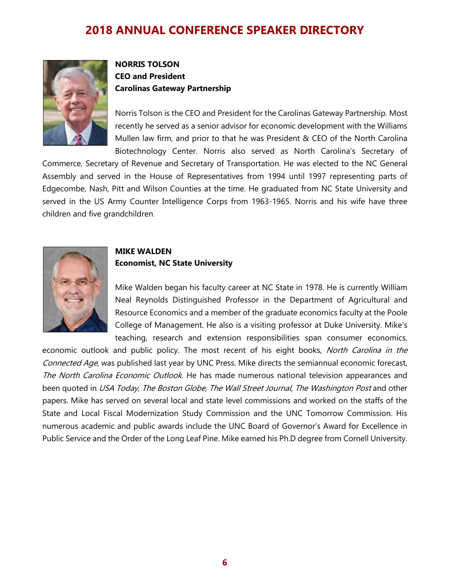

### **NORRIS TOLSON CEO and President Carolinas Gateway Partnership**

Norris Tolson is the CEO and President for the Carolinas Gateway Partnership. Most recently he served as a senior advisor for economic development with the Williams Mullen law firm, and prior to that he was President & CEO of the North Carolina Biotechnology Center. Norris also served as North Carolina's Secretary of

Commerce, Secretary of Revenue and Secretary of Transportation. He was elected to the NC General Assembly and served in the House of Representatives from 1994 until 1997 representing parts of Edgecombe, Nash, Pitt and Wilson Counties at the time. He graduated from NC State University and served in the US Army Counter Intelligence Corps from 1963-1965. Norris and his wife have three children and five grandchildren.



#### **MIKE WALDEN Economist, NC State University**

Mike Walden began his faculty career at NC State in 1978. He is currently William Neal Reynolds Distinguished Professor in the Department of Agricultural and Resource Economics and a member of the graduate economics faculty at the Poole College of Management. He also is a visiting professor at Duke University. Mike's teaching, research and extension responsibilities span consumer economics,

economic outlook and public policy. The most recent of his eight books, North Carolina in the Connected Age, was published last year by UNC Press. Mike directs the semiannual economic forecast, The North Carolina Economic Outlook. He has made numerous national television appearances and been quoted in USA Today, The Boston Globe, The Wall Street Journal, The Washington Post and other papers. Mike has served on several local and state level commissions and worked on the staffs of the State and Local Fiscal Modernization Study Commission and the UNC Tomorrow Commission. His numerous academic and public awards include the UNC Board of Governor's Award for Excellence in Public Service and the Order of the Long Leaf Pine. Mike earned his Ph.D degree from Cornell University.